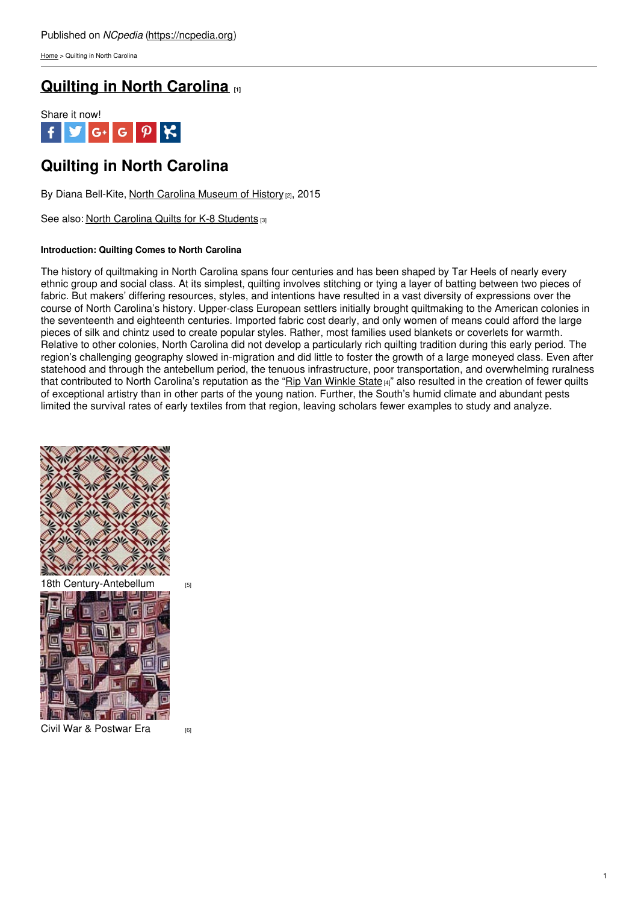[Home](https://ncpedia.org/) > Quilting in North Carolina

## **Quilting in North [Carolina](https://ncpedia.org/quilting-north-carolina-introduction) [1]**



# **Quilting in North Carolina**

By Diana Bell-Kite, North Carolina [Museum](https://www.ncmuseumofhistory.org/) of History [2], 2015

See also: North Carolina Quilts for K-8 [Students](https://www.ncpedia.org/north-carolina-quilts-k-8) [3]

### **Introduction: Quilting Comes to North Carolina**

The history of quiltmaking in North Carolina spans four centuries and has been shaped by Tar Heels of nearly every ethnic group and social class. At its [simplest,](http://www.social9.com) quilting involves stitching or tying a layer of batting between two pieces of fabric. But makers' differing resources, styles, and intentions have resulted in a vast diversity of expressions over the course of North Carolina's history. Upper-class European settlers initially brought quiltmaking to the American colonies in the seventeenth and eighteenth centuries. Imported fabric cost dearly, and only women of means could afford the large pieces of silk and chintz used to create popular styles. Rather, most families used blankets or coverlets for warmth. Relative to other colonies, North Carolina did not develop a particularly rich quilting tradition during this early period. The region's challenging geography slowed in-migration and did little to foster the growth of a large moneyed class. Even after statehood and through the antebellum period, the tenuous infrastructure, poor transportation, and overwhelming ruralness that contributed to North Carolina's reputation as the "Rip Van [Winkle](https://ncpedia.org/rip-van-winkle-state) State<sub>[4]</sub>" also resulted in the creation of fewer quilts of exceptional artistry than in other parts of the young nation. Further, the South's humid climate and abundant pests limited the survival rates of early textiles from that region, leaving scholars fewer examples to study and analyze.





Civil War & [Postwar](https://ncpedia.org/quilting-part-ii-civil-war-postwar) Era [6]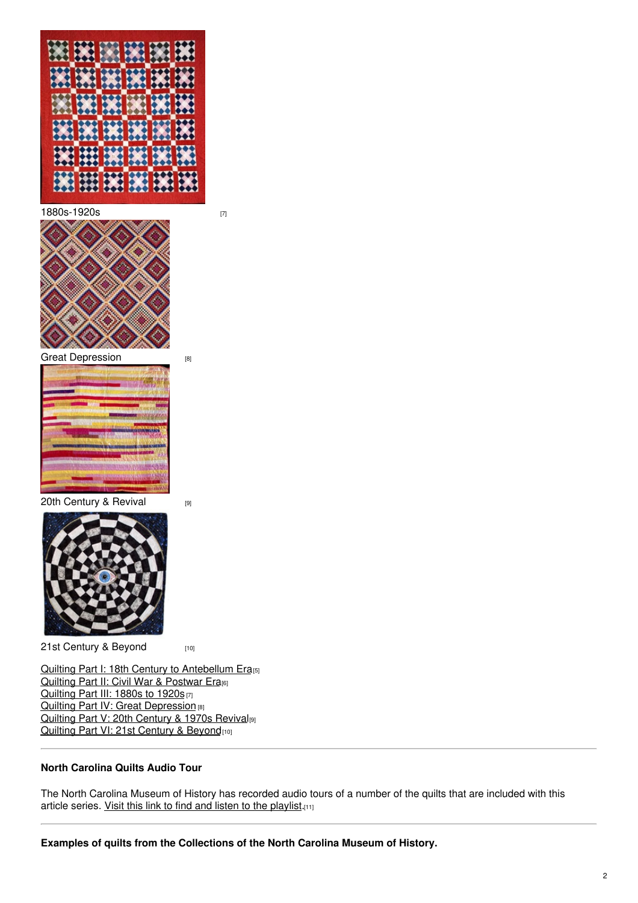

[1880s-1920s](https://ncpedia.org/quilting-part-iii-1880s-1920s) [7]



Great [Depression](https://ncpedia.org/quilting-part-iv-great-depression) [8]

20th [Century](https://ncpedia.org/quilting-part-v-20th-century-and) & Revival [9]



21st [Century](https://ncpedia.org/quilting-part-vi-21st-century-and) & Beyond [10]

Quilting Part I: 18th Century to [Antebellum](https://ncpedia.org/quilting-part-i-18th-century) Era<sub>[5]</sub> Quilting Part II: Civil War & [Postwar](https://ncpedia.org/quilting-part-ii-civil-war-postwar) Era<sub>[6]</sub> [Quilting](https://ncpedia.org/quilting-part-iii-1880s-1920s) Part III: 1880s to 1920s [7] Quilting Part IV: Great [Depression](https://ncpedia.org/quilting-part-iv-great-depression) [8] Quilting Part V: 20th [Century](https://ncpedia.org/quilting-part-v-20th-century-and) & 1970s Revival<sup>[9]</sup> Quilting Part VI: 21st [Century](https://ncpedia.org/quilting-part-vi-21st-century-and) & Beyond<sub>[10]</sub>

## **North Carolina Quilts Audio Tour**

The North Carolina Museum of History has recorded audio tours of a number of the quilts that are included with this article series. Visit this link to find and listen to the [playlist](https://www.youtube.com/playlist?list=PL2pN1beRTrtRpPbSvKD-JNrmZF0CfWKoc).[11]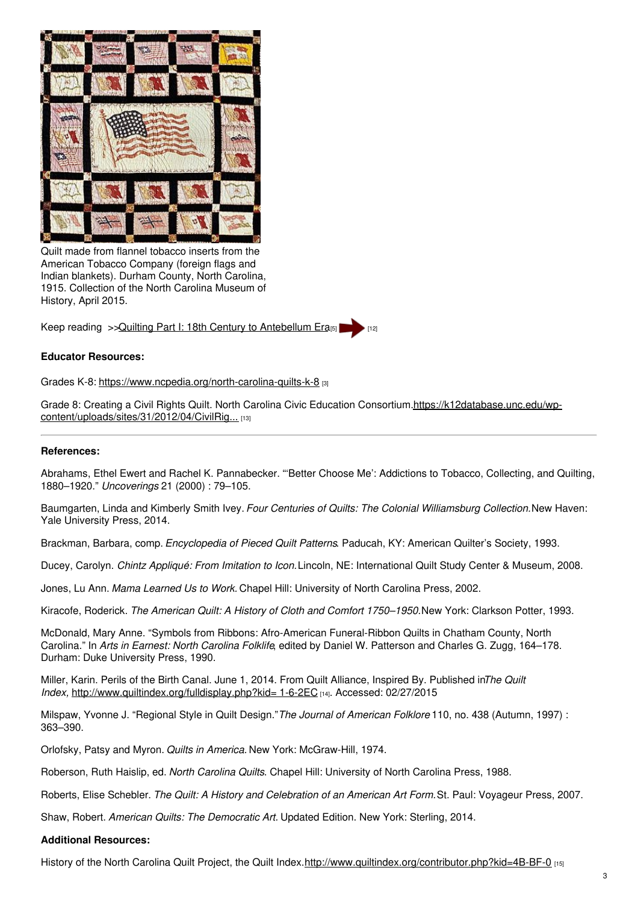

Quilt made from flannel tobacco inserts from the American Tobacco Company (foreign flags and Indian blankets). Durham County, North Carolina, 1915. Collection of the North Carolina Museum of History, April 2015.

Keep reading >>Quilting Part I: 18th Century to [Antebellum](https://ncpedia.org/quilting-part-i-18th-century) Era[5]

### **Educator Resources:**

Grades K-8: <https://www.ncpedia.org/north-carolina-quilts-k-8> [3]

Grade 8: Creating a Civil Rights Quilt. North Carolina Civic Education [Consortium.https://k12database.unc.edu/wp](https://k12database.unc.edu/wp-content/uploads/sites/31/2012/04/CivilRightsQuilt.pdf)content/uploads/sites/31/2012/04/CivilRig... [13]

#### **References:**

Abrahams, Ethel Ewert and Rachel K. Pannabecker. "'Better Choose Me': Addictions to Tobacco, Collecting, and Quilting, 1880–1920." *Uncoverings* 21 (2000) : 79–105.

Baumgarten, Linda and Kimberly Smith Ivey. *Four Centuries of Quilts: The Colonial Williamsburg Collection.*New Haven: Yale University Press, 2014.

Brackman, Barbara, comp. *Encyclopedia of Pieced Quilt Patterns*. Paducah, KY: American Quilter's Society, 1993.

Ducey, Carolyn. *Chintz Appliqué: From Imitation to Icon.*Lincoln, NE: International Quilt Study Center & Museum, 2008.

Jones, Lu Ann. *Mama Learned Us to Work.* Chapel Hill: University of North Carolina Press, 2002.

Kiracofe, Roderick. *The American Quilt: A History of Cloth and Comfort 1750–1950.*New York: Clarkson Potter, 1993.

McDonald, Mary Anne. "Symbols from Ribbons: Afro-American Funeral-Ribbon Quilts in Chatham County, North Carolina." In *Arts in Earnest: North Carolina Folklife*, edited by Daniel W. Patterson and Charles G. Zugg, 164–178. Durham: Duke University Press, 1990.

Miller, Karin. Perils of the Birth Canal. June 1, 2014. From Quilt Alliance, Inspired By. Published in*The Quilt Index,* [http://www.quiltindex.org/fulldisplay.php?kid=](http://www.quiltindex.org/fulldisplay.php?kid=1-6-2EC) 1-6-2EC [14]. Accessed: 02/27/2015

Milspaw, Yvonne J. "Regional Style in Quilt Design."*The Journal of American Folklore* 110, no. 438 (Autumn, 1997) : 363–390.

Orlofsky, Patsy and Myron. *Quilts in America.* New York: McGraw-Hill, 1974.

Roberson, Ruth Haislip, ed. *North Carolina Quilts*. Chapel Hill: University of North Carolina Press, 1988.

Roberts, Elise Schebler. *The Quilt: A History and Celebration of an American Art Form.*St. Paul: Voyageur Press, 2007.

Shaw, Robert. *American Quilts: The Democratic Art.* Updated Edition. New York: Sterling, 2014.

#### **Additional Resources:**

History of the North Carolina Quilt Project, the Quilt Index.<http://www.quiltindex.org/contributor.php?kid=4B-BF-0> [15]